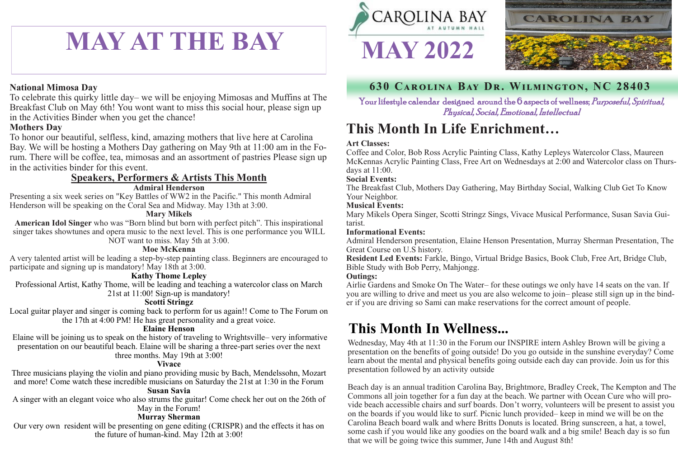## **This Month In Life Enrichment…**

Your lifestyle calendar designed around the 6 aspects of wellness; *Purposeful, Spiritual*, Physical, Social, Emotional, Intellectual

## **This Month In Wellness...**

## **630 Carolina Bay Dr. Wilmington, NC 28403**

#### **Art Classes:**

Coffee and Color, Bob Ross Acrylic Painting Class, Kathy Lepleys Watercolor Class, Maureen McKennas Acrylic Painting Class, Free Art on Wednesdays at 2:00 and Watercolor class on Thursdays at 11:00.

#### **Social Events:**

The Breakfast Club, Mothers Day Gathering, May Birthday Social, Walking Club Get To Know Your Neighbor.

#### **Musical Events:**

Mary Mikels Opera Singer, Scotti Stringz Sings, Vivace Musical Performance, Susan Savia Guitarist.

#### **Informational Events:**

Admiral Henderson presentation, Elaine Henson Presentation, Murray Sherman Presentation, The Great Course on U.S history.

**Resident Led Events:** Farkle, Bingo, Virtual Bridge Basics, Book Club, Free Art, Bridge Club, Bible Study with Bob Perry, Mahjongg. **Outings:**

Airlie Gardens and Smoke On The Water– for these outings we only have 14 seats on the van. If you are willing to drive and meet us you are also welcome to join– please still sign up in the binder if you are driving so Sami can make reservations for the correct amount of people.

Wednesday, May 4th at 11:30 in the Forum our INSPIRE intern Ashley Brown will be giving a presentation on the benefits of going outside! Do you go outside in the sunshine everyday? Come learn about the mental and physical benefits going outside each day can provide. Join us for this presentation followed by an activity outside

Beach day is an annual tradition Carolina Bay, Brightmore, Bradley Creek, The Kempton and The Commons all join together for a fun day at the beach. We partner with Ocean Cure who will provide beach accessible chairs and surf boards. Don't worry, volunteers will be present to assist you on the boards if you would like to surf. Picnic lunch provided– keep in mind we will be on the Carolina Beach board walk and where Britts Donuts is located. Bring sunscreen, a hat, a towel, some cash if you would like any goodies on the board walk and a big smile! Beach day is so fun that we will be going twice this summer, June 14th and August 8th!



# **MAY AT THE BAY 1 MAY 2022**

#### **National Mimosa Day**

To celebrate this quirky little day– we will be enjoying Mimosas and Muffins at The Breakfast Club on May 6th! You wont want to miss this social hour, please sign up in the Activities Binder when you get the chance!

#### **Mothers Day**

To honor our beautiful, selfless, kind, amazing mothers that live here at Carolina Bay. We will be hosting a Mothers Day gathering on May 9th at 11:00 am in the Forum. There will be coffee, tea, mimosas and an assortment of pastries Please sign up in the activities binder for this event.

### **Speakers, Performers & Artists This Month**

#### **Admiral Henderson**

Presenting a six week series on "Key Battles of WW2 in the Pacific." This month Admiral Henderson will be speaking on the Coral Sea and Midway. May 13th at 3:00.

#### **Mary Mikels**

**American Idol Singer** who was "Born blind but born with perfect pitch". This inspirational singer takes showtunes and opera music to the next level. This is one performance you WILL NOT want to miss. May 5th at 3:00.

#### **Moe McKenna**

A very talented artist will be leading a step-by-step painting class. Beginners are encouraged to participate and signing up is mandatory! May 18th at 3:00.

#### **Kathy Thome Lepley**

Professional Artist, Kathy Thome, will be leading and teaching a watercolor class on March 21st at 11:00! Sign-up is mandatory!

#### **Scotti Stringz**

Local guitar player and singer is coming back to perform for us again!! Come to The Forum on the 17th at 4:00 PM! He has great personality and a great voice.

#### **Elaine Henson**

Elaine will be joining us to speak on the history of traveling to Wrightsville– very informative presentation on our beautiful beach. Elaine will be sharing a three-part series over the next three months. May 19th at 3:00!

#### **Vivace**

Three musicians playing the violin and piano providing music by Bach, Mendelssohn, Mozart and more! Come watch these incredible musicians on Saturday the 21st at 1:30 in the Forum

#### **Susan Savia**

A singer with an elegant voice who also strums the guitar! Come check her out on the 26th of May in the Forum!

#### **Murray Sherman**

Our very own resident will be presenting on gene editing (CRISPR) and the effects it has on the future of human-kind. May 12th at 3:00!